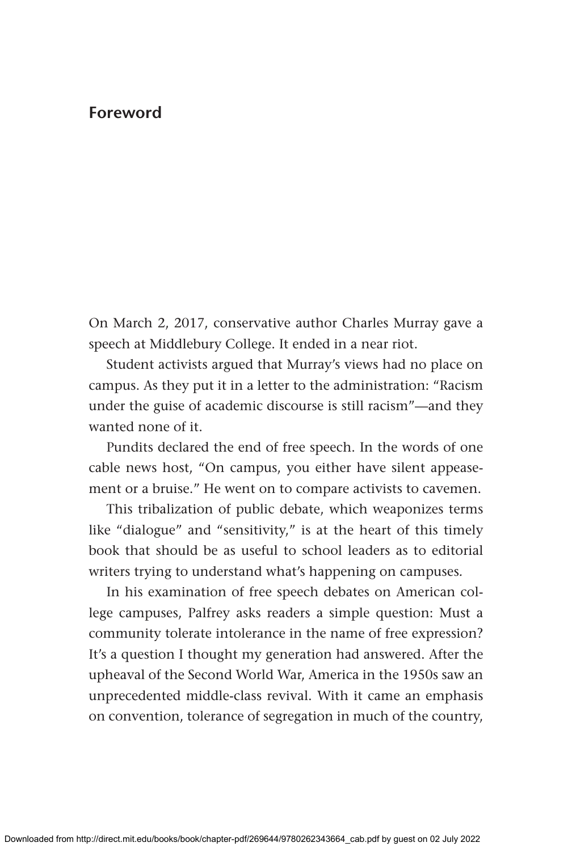## **Foreword**

On March 2, 2017, conservative author Charles Murray gave a speech at Middlebury College. It ended in a near riot.

Student activists argued that Murray's views had no place on campus. As they put it in a letter to the administration: "Racism under the guise of academic discourse is still racism"—and they wanted none of it.

Pundits declared the end of free speech. In the words of one cable news host, "On campus, you either have silent appeasement or a bruise." He went on to compare activists to cavemen.

This tribalization of public debate, which weaponizes terms like "dialogue" and "sensitivity," is at the heart of this timely book that should be as useful to school leaders as to editorial writers trying to understand what's happening on campuses*.* 

In his examination of free speech debates on American college campuses, Palfrey asks readers a simple question: Must a community tolerate intolerance in the name of free expression? It's a question I thought my generation had answered. After the upheaval of the Second World War, America in the 1950s saw an unprecedented middle-class revival. With it came an emphasis on convention, tolerance of segregation in much of the country,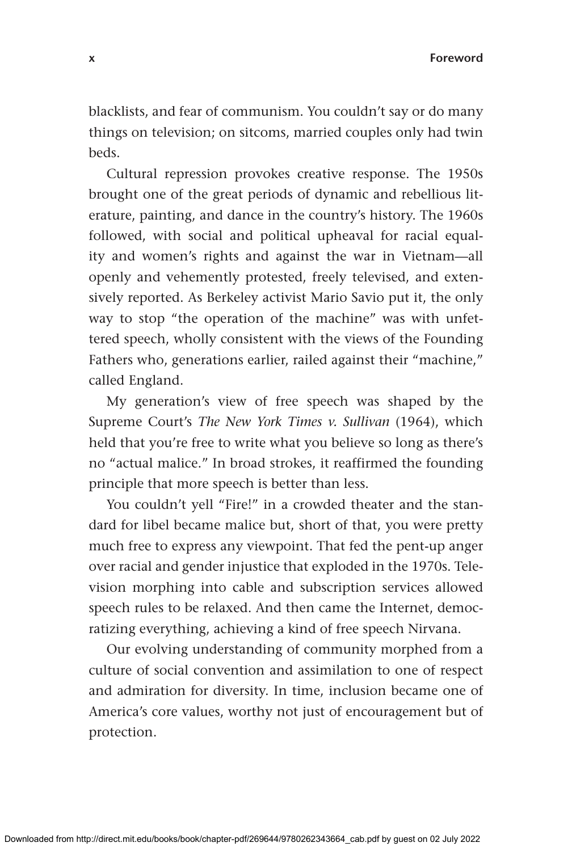blacklists, and fear of communism. You couldn't say or do many things on television; on sitcoms, married couples only had twin beds.

Cultural repression provokes creative response. The 1950s brought one of the great periods of dynamic and rebellious literature, painting, and dance in the country's history. The 1960s followed, with social and political upheaval for racial equality and women's rights and against the war in Vietnam—all openly and vehemently protested, freely televised, and extensively reported. As Berkeley activist Mario Savio put it, the only way to stop "the operation of the machine" was with unfettered speech, wholly consistent with the views of the Founding Fathers who, generations earlier, railed against their "machine," called England.

My generation's view of free speech was shaped by the Supreme Court's *The New York Times v. Sullivan* (1964), which held that you're free to write what you believe so long as there's no "actual malice." In broad strokes, it reaffirmed the founding principle that more speech is better than less.

You couldn't yell "Fire!" in a crowded theater and the standard for libel became malice but, short of that, you were pretty much free to express any viewpoint. That fed the pent-up anger over racial and gender injustice that exploded in the 1970s. Television morphing into cable and subscription services allowed speech rules to be relaxed. And then came the Internet, democratizing everything, achieving a kind of free speech Nirvana.

Our evolving understanding of community morphed from a culture of social convention and assimilation to one of respect and admiration for diversity. In time, inclusion became one of America's core values, worthy not just of encouragement but of protection.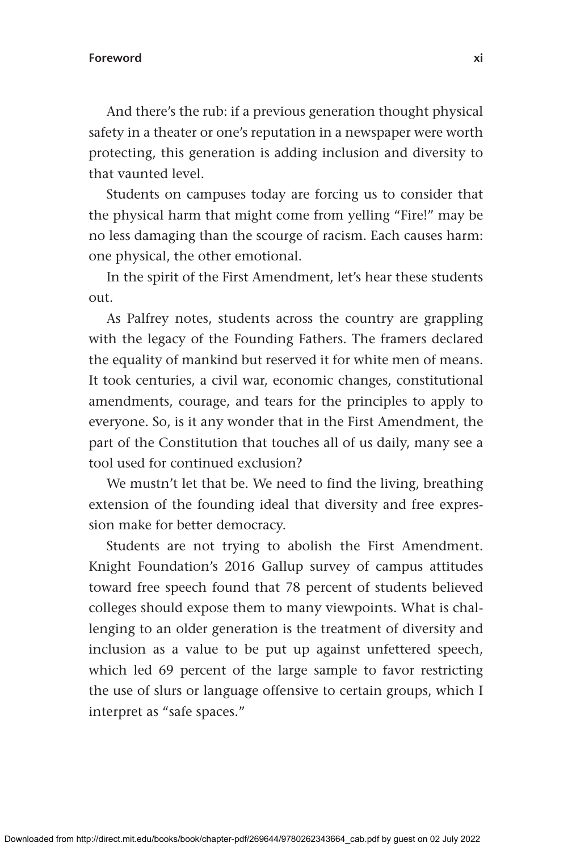## **Foreword xi**

And there's the rub: if a previous generation thought physical safety in a theater or one's reputation in a newspaper were worth protecting, this generation is adding inclusion and diversity to that vaunted level.

Students on campuses today are forcing us to consider that the physical harm that might come from yelling "Fire!" may be no less damaging than the scourge of racism. Each causes harm: one physical, the other emotional.

In the spirit of the First Amendment, let's hear these students out.

As Palfrey notes, students across the country are grappling with the legacy of the Founding Fathers. The framers declared the equality of mankind but reserved it for white men of means. It took centuries, a civil war, economic changes, constitutional amendments, courage, and tears for the principles to apply to everyone. So, is it any wonder that in the First Amendment, the part of the Constitution that touches all of us daily, many see a tool used for continued exclusion?

We mustn't let that be. We need to find the living, breathing extension of the founding ideal that diversity and free expression make for better democracy.

Students are not trying to abolish the First Amendment. Knight Foundation's 2016 Gallup survey of campus attitudes toward free speech found that 78 percent of students believed colleges should expose them to many viewpoints. What is challenging to an older generation is the treatment of diversity and inclusion as a value to be put up against unfettered speech, which led 69 percent of the large sample to favor restricting the use of slurs or language offensive to certain groups, which I interpret as "safe spaces."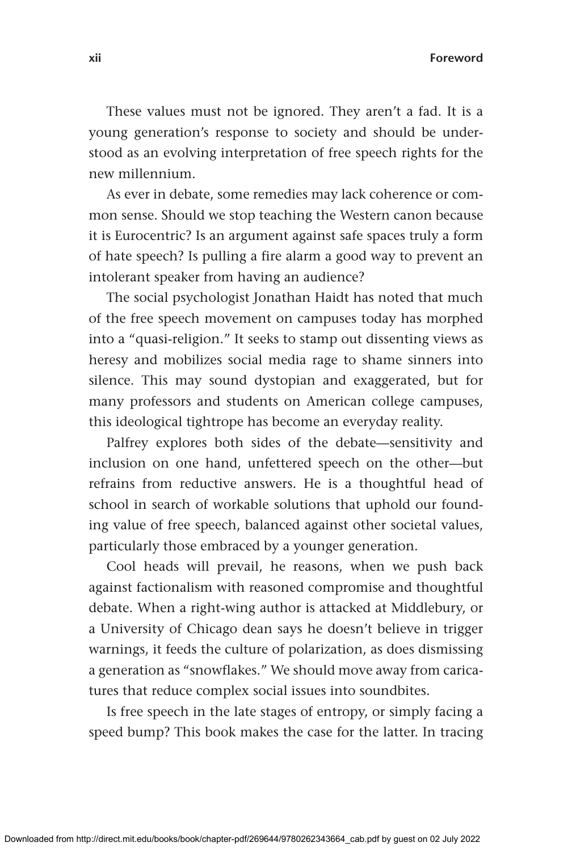**xii Foreword**

These values must not be ignored. They aren't a fad. It is a young generation's response to society and should be understood as an evolving interpretation of free speech rights for the new millennium.

As ever in debate, some remedies may lack coherence or common sense. Should we stop teaching the Western canon because it is Eurocentric? Is an argument against safe spaces truly a form of hate speech? Is pulling a fire alarm a good way to prevent an intolerant speaker from having an audience?

The social psychologist Jonathan Haidt has noted that much of the free speech movement on campuses today has morphed into a "quasi-religion." It seeks to stamp out dissenting views as heresy and mobilizes social media rage to shame sinners into silence. This may sound dystopian and exaggerated, but for many professors and students on American college campuses, this ideological tightrope has become an everyday reality.

Palfrey explores both sides of the debate—sensitivity and inclusion on one hand, unfettered speech on the other—but refrains from reductive answers. He is a thoughtful head of school in search of workable solutions that uphold our founding value of free speech, balanced against other societal values, particularly those embraced by a younger generation.

Cool heads will prevail, he reasons, when we push back against factionalism with reasoned compromise and thoughtful debate. When a right-wing author is attacked at Middlebury, or a University of Chicago dean says he doesn't believe in trigger warnings, it feeds the culture of polarization, as does dismissing a generation as "snowflakes." We should move away from caricatures that reduce complex social issues into soundbites.

Is free speech in the late stages of entropy, or simply facing a speed bump? This book makes the case for the latter. In tracing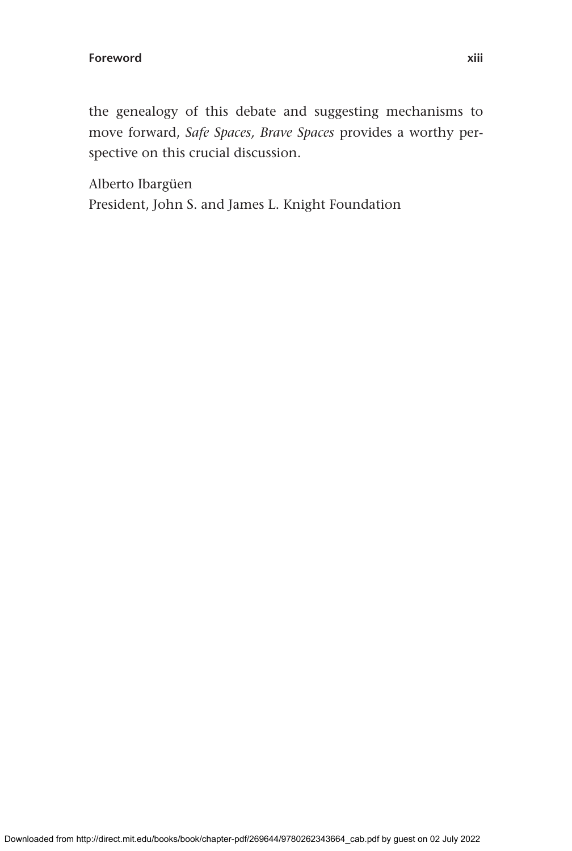the genealogy of this debate and suggesting mechanisms to move forward, *Safe Spaces, Brave Spaces* provides a worthy perspective on this crucial discussion.

Alberto Ibargüen President, John S. and James L. Knight Foundation